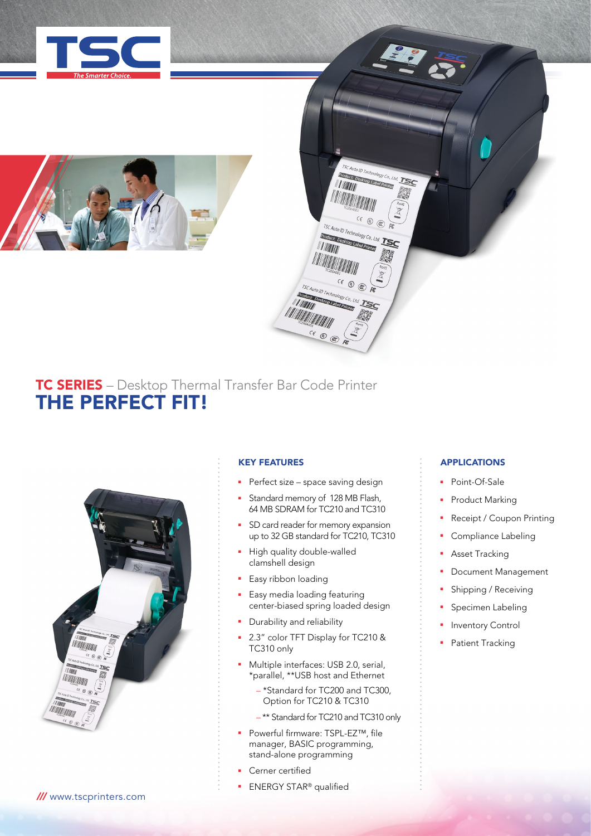



# TC SERIES – Desktop Thermal Transfer Bar Code Printer THE PERFECT FIT!



# KEY FEATURES

- **Perfect size space saving design**
- **EXECUTE: Standard memory of 128 MB Flash,** 64 MB SDRAM for TC210 and TC310

**7SC Auto ID Technology Co., Ltd. TSC** SCAuto ID Technology Co., Lt

TIMIT **TITULI** 

TSC Auto ID Technology Co., Ltd. **Product: Desktop Label Prin TIMOR** 

TSC Auto ID Techn Pduct: Desta **A ANTITA** 

**CE ® ® FE** 

- SD card reader for memory expansion up to 32 GB standard for TC210, TC310
- High quality double-walled clamshell design
- Easy ribbon loading
- Easy media loading featuring center-biased spring loaded design
- Durability and reliability
- 2.3" color TFT Display for TC210 & TC310 only
- **n** Multiple interfaces: USB 2.0, serial, \*parallel, \*\*USB host and Ethernet
	- \*Standard for TC200 and TC300, Option for TC210 & TC310
	- \*\* Standard for TC210 and TC310 only
- Powerful firmware: TSPL-EZ™, file manager, BASIC programming, stand-alone programming
- Cerner certified
- **ENERGY STAR®** qualified

# APPLICATIONS

- Point-Of-Sale
- Product Marking
- Receipt / Coupon Printing
- Compliance Labeling
- Asset Tracking
- Document Management
- Shipping / Receiving
- Specimen Labeling
- Inventory Control
- Patient Tracking